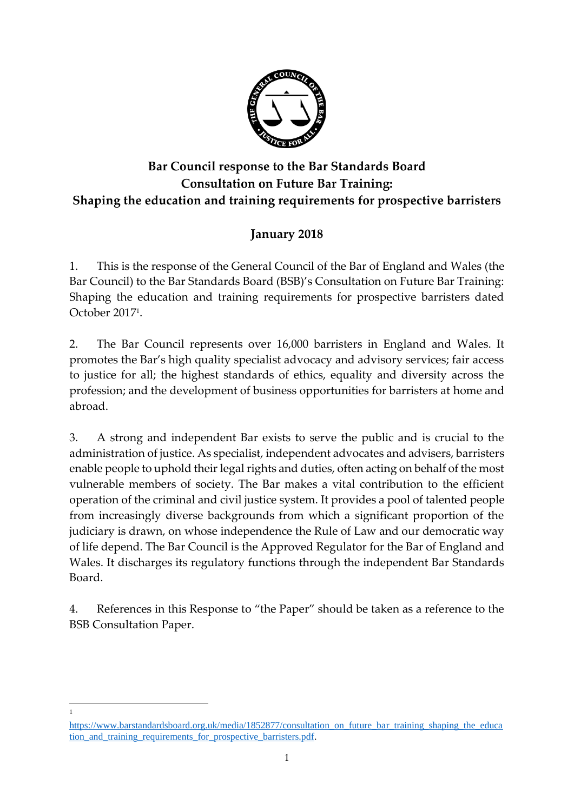

# **Bar Council response to the Bar Standards Board Consultation on Future Bar Training: Shaping the education and training requirements for prospective barristers**

# **January 2018**

1. This is the response of the General Council of the Bar of England and Wales (the Bar Council) to the Bar Standards Board (BSB)'s Consultation on Future Bar Training: Shaping the education and training requirements for prospective barristers dated October 2017<sup>1</sup> .

2. The Bar Council represents over 16,000 barristers in England and Wales. It promotes the Bar's high quality specialist advocacy and advisory services; fair access to justice for all; the highest standards of ethics, equality and diversity across the profession; and the development of business opportunities for barristers at home and abroad.

3. A strong and independent Bar exists to serve the public and is crucial to the administration of justice. As specialist, independent advocates and advisers, barristers enable people to uphold their legal rights and duties, often acting on behalf of the most vulnerable members of society. The Bar makes a vital contribution to the efficient operation of the criminal and civil justice system. It provides a pool of talented people from increasingly diverse backgrounds from which a significant proportion of the judiciary is drawn, on whose independence the Rule of Law and our democratic way of life depend. The Bar Council is the Approved Regulator for the Bar of England and Wales. It discharges its regulatory functions through the independent Bar Standards Board.

4. References in this Response to "the Paper" should be taken as a reference to the BSB Consultation Paper.

[https://www.barstandardsboard.org.uk/media/1852877/consultation\\_on\\_future\\_bar\\_training\\_shaping\\_the\\_educa](https://www.barstandardsboard.org.uk/media/1852877/consultation_on_future_bar_training_shaping_the_education_and_training_requirements_for_prospective_barristers.pdf) [tion\\_and\\_training\\_requirements\\_for\\_prospective\\_barristers.pdf.](https://www.barstandardsboard.org.uk/media/1852877/consultation_on_future_bar_training_shaping_the_education_and_training_requirements_for_prospective_barristers.pdf)

 $\overline{a}$ 1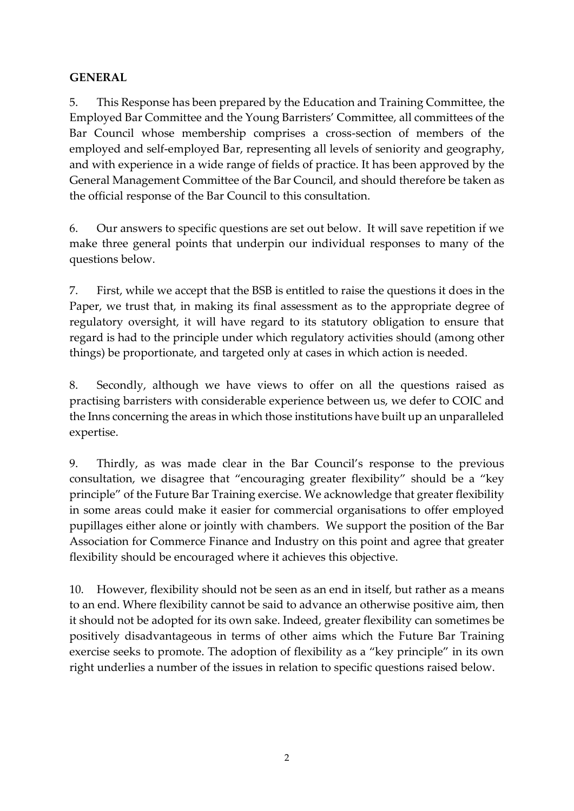#### **GENERAL**

5. This Response has been prepared by the Education and Training Committee, the Employed Bar Committee and the Young Barristers' Committee, all committees of the Bar Council whose membership comprises a cross-section of members of the employed and self-employed Bar, representing all levels of seniority and geography, and with experience in a wide range of fields of practice. It has been approved by the General Management Committee of the Bar Council, and should therefore be taken as the official response of the Bar Council to this consultation.

6. Our answers to specific questions are set out below. It will save repetition if we make three general points that underpin our individual responses to many of the questions below.

7. First, while we accept that the BSB is entitled to raise the questions it does in the Paper, we trust that, in making its final assessment as to the appropriate degree of regulatory oversight, it will have regard to its statutory obligation to ensure that regard is had to the principle under which regulatory activities should (among other things) be proportionate, and targeted only at cases in which action is needed.

8. Secondly, although we have views to offer on all the questions raised as practising barristers with considerable experience between us, we defer to COIC and the Inns concerning the areas in which those institutions have built up an unparalleled expertise.

9. Thirdly, as was made clear in the Bar Council's response to the previous consultation, we disagree that "encouraging greater flexibility" should be a "key principle" of the Future Bar Training exercise. We acknowledge that greater flexibility in some areas could make it easier for commercial organisations to offer employed pupillages either alone or jointly with chambers. We support the position of the Bar Association for Commerce Finance and Industry on this point and agree that greater flexibility should be encouraged where it achieves this objective.

10. However, flexibility should not be seen as an end in itself, but rather as a means to an end. Where flexibility cannot be said to advance an otherwise positive aim, then it should not be adopted for its own sake. Indeed, greater flexibility can sometimes be positively disadvantageous in terms of other aims which the Future Bar Training exercise seeks to promote. The adoption of flexibility as a "key principle" in its own right underlies a number of the issues in relation to specific questions raised below.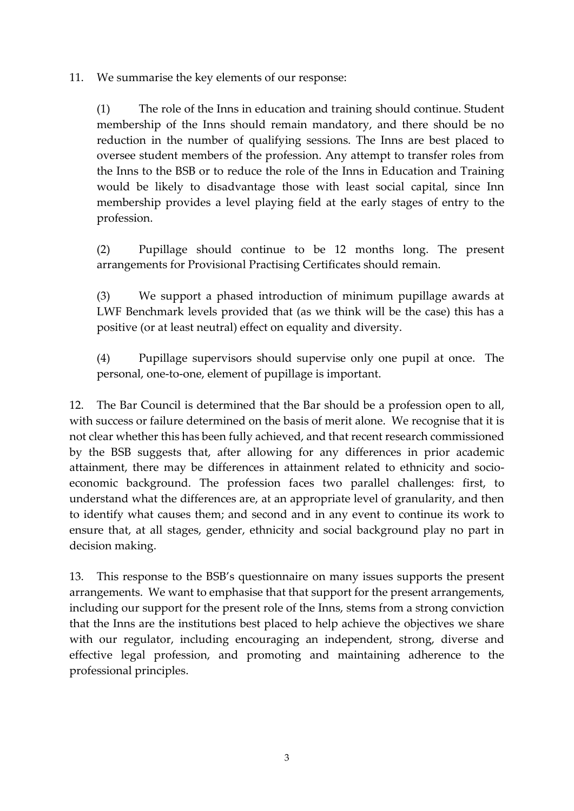11. We summarise the key elements of our response:

(1) The role of the Inns in education and training should continue. Student membership of the Inns should remain mandatory, and there should be no reduction in the number of qualifying sessions. The Inns are best placed to oversee student members of the profession. Any attempt to transfer roles from the Inns to the BSB or to reduce the role of the Inns in Education and Training would be likely to disadvantage those with least social capital, since Inn membership provides a level playing field at the early stages of entry to the profession.

(2) Pupillage should continue to be 12 months long. The present arrangements for Provisional Practising Certificates should remain.

(3) We support a phased introduction of minimum pupillage awards at LWF Benchmark levels provided that (as we think will be the case) this has a positive (or at least neutral) effect on equality and diversity.

(4) Pupillage supervisors should supervise only one pupil at once. The personal, one-to-one, element of pupillage is important.

12. The Bar Council is determined that the Bar should be a profession open to all, with success or failure determined on the basis of merit alone. We recognise that it is not clear whether this has been fully achieved, and that recent research commissioned by the BSB suggests that, after allowing for any differences in prior academic attainment, there may be differences in attainment related to ethnicity and socioeconomic background. The profession faces two parallel challenges: first, to understand what the differences are, at an appropriate level of granularity, and then to identify what causes them; and second and in any event to continue its work to ensure that, at all stages, gender, ethnicity and social background play no part in decision making.

13. This response to the BSB's questionnaire on many issues supports the present arrangements. We want to emphasise that that support for the present arrangements, including our support for the present role of the Inns, stems from a strong conviction that the Inns are the institutions best placed to help achieve the objectives we share with our regulator, including encouraging an independent, strong, diverse and effective legal profession, and promoting and maintaining adherence to the professional principles.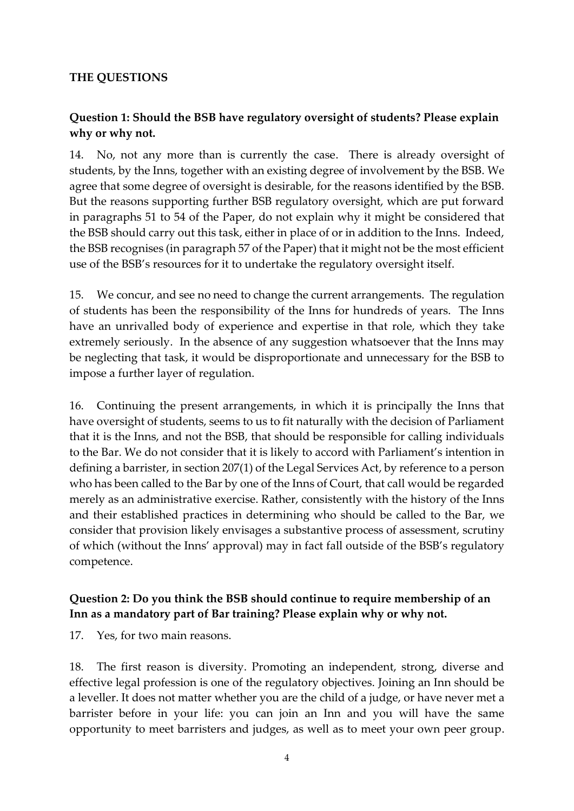#### **THE QUESTIONS**

### **Question 1: Should the BSB have regulatory oversight of students? Please explain why or why not.**

14. No, not any more than is currently the case. There is already oversight of students, by the Inns, together with an existing degree of involvement by the BSB. We agree that some degree of oversight is desirable, for the reasons identified by the BSB. But the reasons supporting further BSB regulatory oversight, which are put forward in paragraphs 51 to 54 of the Paper, do not explain why it might be considered that the BSB should carry out this task, either in place of or in addition to the Inns. Indeed, the BSB recognises (in paragraph 57 of the Paper) that it might not be the most efficient use of the BSB's resources for it to undertake the regulatory oversight itself.

15. We concur, and see no need to change the current arrangements. The regulation of students has been the responsibility of the Inns for hundreds of years. The Inns have an unrivalled body of experience and expertise in that role, which they take extremely seriously. In the absence of any suggestion whatsoever that the Inns may be neglecting that task, it would be disproportionate and unnecessary for the BSB to impose a further layer of regulation.

16. Continuing the present arrangements, in which it is principally the Inns that have oversight of students, seems to us to fit naturally with the decision of Parliament that it is the Inns, and not the BSB, that should be responsible for calling individuals to the Bar. We do not consider that it is likely to accord with Parliament's intention in defining a barrister, in section 207(1) of the Legal Services Act, by reference to a person who has been called to the Bar by one of the Inns of Court, that call would be regarded merely as an administrative exercise. Rather, consistently with the history of the Inns and their established practices in determining who should be called to the Bar, we consider that provision likely envisages a substantive process of assessment, scrutiny of which (without the Inns' approval) may in fact fall outside of the BSB's regulatory competence.

#### **Question 2: Do you think the BSB should continue to require membership of an Inn as a mandatory part of Bar training? Please explain why or why not.**

17. Yes, for two main reasons.

18. The first reason is diversity. Promoting an independent, strong, diverse and effective legal profession is one of the regulatory objectives. Joining an Inn should be a leveller. It does not matter whether you are the child of a judge, or have never met a barrister before in your life: you can join an Inn and you will have the same opportunity to meet barristers and judges, as well as to meet your own peer group.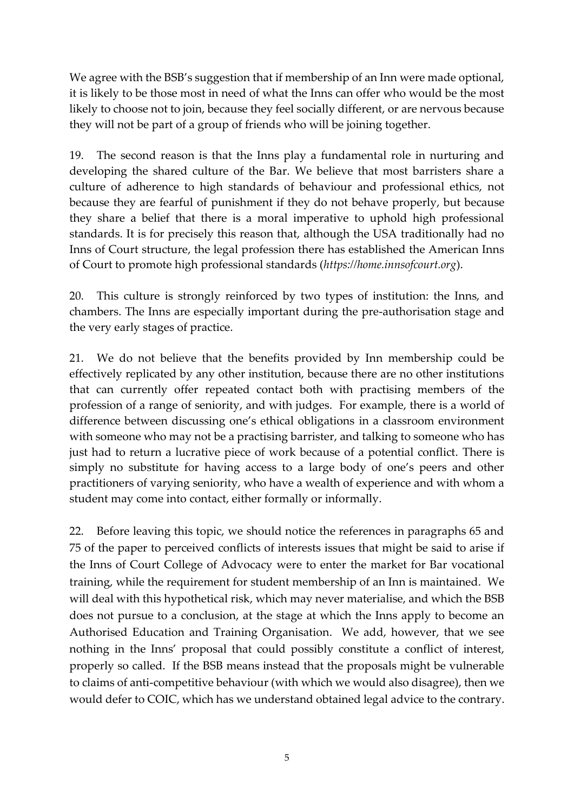We agree with the BSB's suggestion that if membership of an Inn were made optional, it is likely to be those most in need of what the Inns can offer who would be the most likely to choose not to join, because they feel socially different, or are nervous because they will not be part of a group of friends who will be joining together.

19. The second reason is that the Inns play a fundamental role in nurturing and developing the shared culture of the Bar. We believe that most barristers share a culture of adherence to high standards of behaviour and professional ethics, not because they are fearful of punishment if they do not behave properly, but because they share a belief that there is a moral imperative to uphold high professional standards. It is for precisely this reason that, although the USA traditionally had no Inns of Court structure, the legal profession there has established the American Inns of Court to promote high professional standards (*https://home.innsofcourt.org*).

20. This culture is strongly reinforced by two types of institution: the Inns, and chambers. The Inns are especially important during the pre-authorisation stage and the very early stages of practice.

21. We do not believe that the benefits provided by Inn membership could be effectively replicated by any other institution, because there are no other institutions that can currently offer repeated contact both with practising members of the profession of a range of seniority, and with judges. For example, there is a world of difference between discussing one's ethical obligations in a classroom environment with someone who may not be a practising barrister, and talking to someone who has just had to return a lucrative piece of work because of a potential conflict. There is simply no substitute for having access to a large body of one's peers and other practitioners of varying seniority, who have a wealth of experience and with whom a student may come into contact, either formally or informally.

22. Before leaving this topic, we should notice the references in paragraphs 65 and 75 of the paper to perceived conflicts of interests issues that might be said to arise if the Inns of Court College of Advocacy were to enter the market for Bar vocational training, while the requirement for student membership of an Inn is maintained. We will deal with this hypothetical risk, which may never materialise, and which the BSB does not pursue to a conclusion, at the stage at which the Inns apply to become an Authorised Education and Training Organisation. We add, however, that we see nothing in the Inns' proposal that could possibly constitute a conflict of interest, properly so called. If the BSB means instead that the proposals might be vulnerable to claims of anti-competitive behaviour (with which we would also disagree), then we would defer to COIC, which has we understand obtained legal advice to the contrary.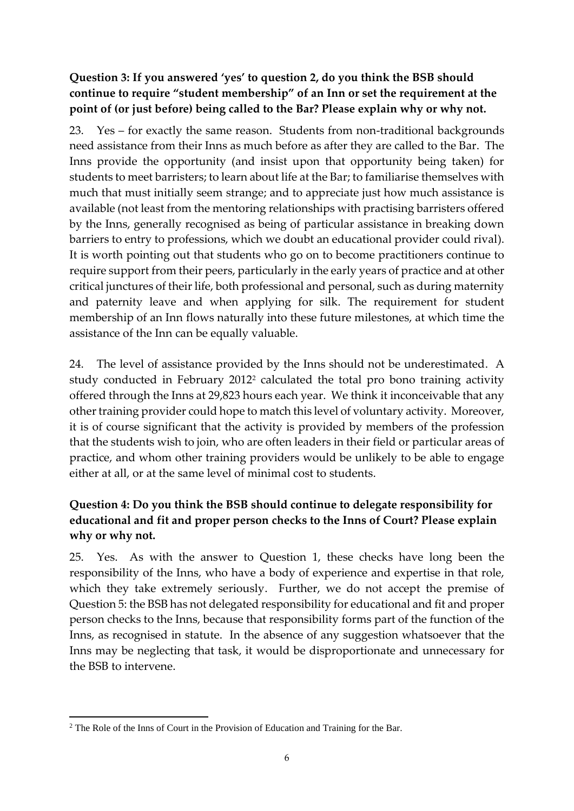### **Question 3: If you answered 'yes' to question 2, do you think the BSB should continue to require "student membership" of an Inn or set the requirement at the point of (or just before) being called to the Bar? Please explain why or why not.**

23. Yes – for exactly the same reason. Students from non-traditional backgrounds need assistance from their Inns as much before as after they are called to the Bar. The Inns provide the opportunity (and insist upon that opportunity being taken) for students to meet barristers; to learn about life at the Bar; to familiarise themselves with much that must initially seem strange; and to appreciate just how much assistance is available (not least from the mentoring relationships with practising barristers offered by the Inns, generally recognised as being of particular assistance in breaking down barriers to entry to professions, which we doubt an educational provider could rival). It is worth pointing out that students who go on to become practitioners continue to require support from their peers, particularly in the early years of practice and at other critical junctures of their life, both professional and personal, such as during maternity and paternity leave and when applying for silk. The requirement for student membership of an Inn flows naturally into these future milestones, at which time the assistance of the Inn can be equally valuable.

24. The level of assistance provided by the Inns should not be underestimated. A study conducted in February 2012<sup>2</sup> calculated the total pro bono training activity offered through the Inns at 29,823 hours each year. We think it inconceivable that any other training provider could hope to match this level of voluntary activity. Moreover, it is of course significant that the activity is provided by members of the profession that the students wish to join, who are often leaders in their field or particular areas of practice, and whom other training providers would be unlikely to be able to engage either at all, or at the same level of minimal cost to students.

# **Question 4: Do you think the BSB should continue to delegate responsibility for educational and fit and proper person checks to the Inns of Court? Please explain why or why not.**

25. Yes. As with the answer to Question 1, these checks have long been the responsibility of the Inns, who have a body of experience and expertise in that role, which they take extremely seriously. Further, we do not accept the premise of Question 5: the BSB has not delegated responsibility for educational and fit and proper person checks to the Inns, because that responsibility forms part of the function of the Inns, as recognised in statute. In the absence of any suggestion whatsoever that the Inns may be neglecting that task, it would be disproportionate and unnecessary for the BSB to intervene.

1

<sup>&</sup>lt;sup>2</sup> The Role of the Inns of Court in the Provision of Education and Training for the Bar.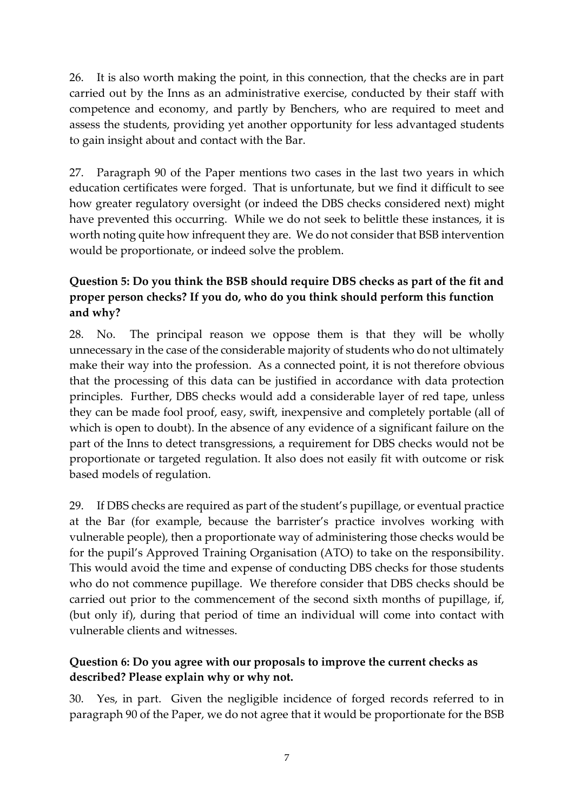26. It is also worth making the point, in this connection, that the checks are in part carried out by the Inns as an administrative exercise, conducted by their staff with competence and economy, and partly by Benchers, who are required to meet and assess the students, providing yet another opportunity for less advantaged students to gain insight about and contact with the Bar.

27. Paragraph 90 of the Paper mentions two cases in the last two years in which education certificates were forged. That is unfortunate, but we find it difficult to see how greater regulatory oversight (or indeed the DBS checks considered next) might have prevented this occurring. While we do not seek to belittle these instances, it is worth noting quite how infrequent they are. We do not consider that BSB intervention would be proportionate, or indeed solve the problem.

### **Question 5: Do you think the BSB should require DBS checks as part of the fit and proper person checks? If you do, who do you think should perform this function and why?**

28. No. The principal reason we oppose them is that they will be wholly unnecessary in the case of the considerable majority of students who do not ultimately make their way into the profession. As a connected point, it is not therefore obvious that the processing of this data can be justified in accordance with data protection principles. Further, DBS checks would add a considerable layer of red tape, unless they can be made fool proof, easy, swift, inexpensive and completely portable (all of which is open to doubt). In the absence of any evidence of a significant failure on the part of the Inns to detect transgressions, a requirement for DBS checks would not be proportionate or targeted regulation. It also does not easily fit with outcome or risk based models of regulation.

29. If DBS checks are required as part of the student's pupillage, or eventual practice at the Bar (for example, because the barrister's practice involves working with vulnerable people), then a proportionate way of administering those checks would be for the pupil's Approved Training Organisation (ATO) to take on the responsibility. This would avoid the time and expense of conducting DBS checks for those students who do not commence pupillage. We therefore consider that DBS checks should be carried out prior to the commencement of the second sixth months of pupillage, if, (but only if), during that period of time an individual will come into contact with vulnerable clients and witnesses.

#### **Question 6: Do you agree with our proposals to improve the current checks as described? Please explain why or why not.**

30. Yes, in part. Given the negligible incidence of forged records referred to in paragraph 90 of the Paper, we do not agree that it would be proportionate for the BSB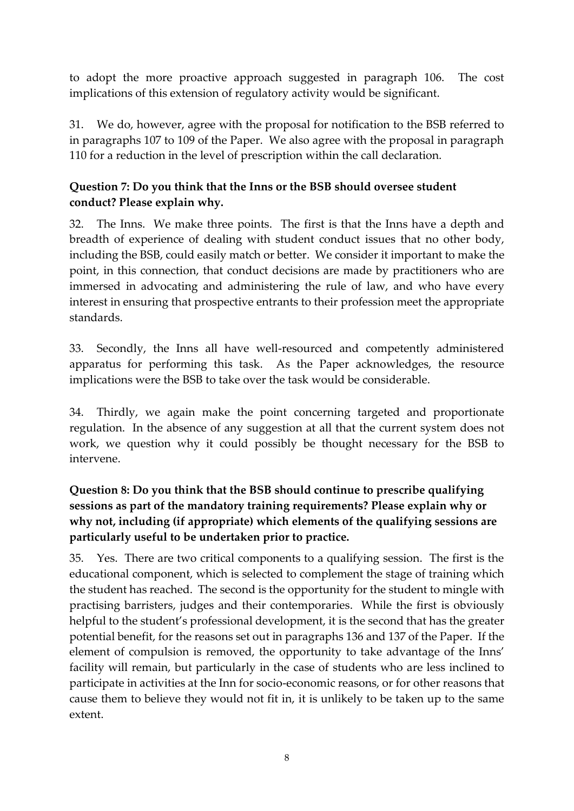to adopt the more proactive approach suggested in paragraph 106. The cost implications of this extension of regulatory activity would be significant.

31. We do, however, agree with the proposal for notification to the BSB referred to in paragraphs 107 to 109 of the Paper. We also agree with the proposal in paragraph 110 for a reduction in the level of prescription within the call declaration.

# **Question 7: Do you think that the Inns or the BSB should oversee student conduct? Please explain why.**

32. The Inns. We make three points. The first is that the Inns have a depth and breadth of experience of dealing with student conduct issues that no other body, including the BSB, could easily match or better. We consider it important to make the point, in this connection, that conduct decisions are made by practitioners who are immersed in advocating and administering the rule of law, and who have every interest in ensuring that prospective entrants to their profession meet the appropriate standards.

33. Secondly, the Inns all have well-resourced and competently administered apparatus for performing this task. As the Paper acknowledges, the resource implications were the BSB to take over the task would be considerable.

34. Thirdly, we again make the point concerning targeted and proportionate regulation. In the absence of any suggestion at all that the current system does not work, we question why it could possibly be thought necessary for the BSB to intervene.

### **Question 8: Do you think that the BSB should continue to prescribe qualifying sessions as part of the mandatory training requirements? Please explain why or why not, including (if appropriate) which elements of the qualifying sessions are particularly useful to be undertaken prior to practice.**

35. Yes. There are two critical components to a qualifying session. The first is the educational component, which is selected to complement the stage of training which the student has reached. The second is the opportunity for the student to mingle with practising barristers, judges and their contemporaries. While the first is obviously helpful to the student's professional development, it is the second that has the greater potential benefit, for the reasons set out in paragraphs 136 and 137 of the Paper. If the element of compulsion is removed, the opportunity to take advantage of the Inns' facility will remain, but particularly in the case of students who are less inclined to participate in activities at the Inn for socio-economic reasons, or for other reasons that cause them to believe they would not fit in, it is unlikely to be taken up to the same extent.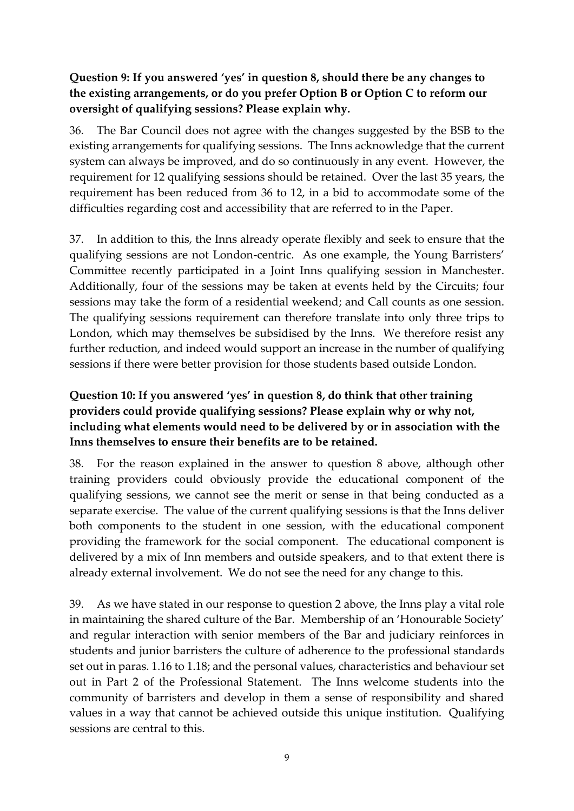#### **Question 9: If you answered 'yes' in question 8, should there be any changes to the existing arrangements, or do you prefer Option B or Option C to reform our oversight of qualifying sessions? Please explain why.**

36. The Bar Council does not agree with the changes suggested by the BSB to the existing arrangements for qualifying sessions. The Inns acknowledge that the current system can always be improved, and do so continuously in any event. However, the requirement for 12 qualifying sessions should be retained. Over the last 35 years, the requirement has been reduced from 36 to 12, in a bid to accommodate some of the difficulties regarding cost and accessibility that are referred to in the Paper.

37. In addition to this, the Inns already operate flexibly and seek to ensure that the qualifying sessions are not London-centric. As one example, the Young Barristers' Committee recently participated in a Joint Inns qualifying session in Manchester. Additionally, four of the sessions may be taken at events held by the Circuits; four sessions may take the form of a residential weekend; and Call counts as one session. The qualifying sessions requirement can therefore translate into only three trips to London, which may themselves be subsidised by the Inns. We therefore resist any further reduction, and indeed would support an increase in the number of qualifying sessions if there were better provision for those students based outside London.

# **Question 10: If you answered 'yes' in question 8, do think that other training providers could provide qualifying sessions? Please explain why or why not, including what elements would need to be delivered by or in association with the Inns themselves to ensure their benefits are to be retained.**

38. For the reason explained in the answer to question 8 above, although other training providers could obviously provide the educational component of the qualifying sessions, we cannot see the merit or sense in that being conducted as a separate exercise. The value of the current qualifying sessions is that the Inns deliver both components to the student in one session, with the educational component providing the framework for the social component. The educational component is delivered by a mix of Inn members and outside speakers, and to that extent there is already external involvement. We do not see the need for any change to this.

39. As we have stated in our response to question 2 above, the Inns play a vital role in maintaining the shared culture of the Bar. Membership of an 'Honourable Society' and regular interaction with senior members of the Bar and judiciary reinforces in students and junior barristers the culture of adherence to the professional standards set out in paras. 1.16 to 1.18; and the personal values, characteristics and behaviour set out in Part 2 of the Professional Statement. The Inns welcome students into the community of barristers and develop in them a sense of responsibility and shared values in a way that cannot be achieved outside this unique institution. Qualifying sessions are central to this.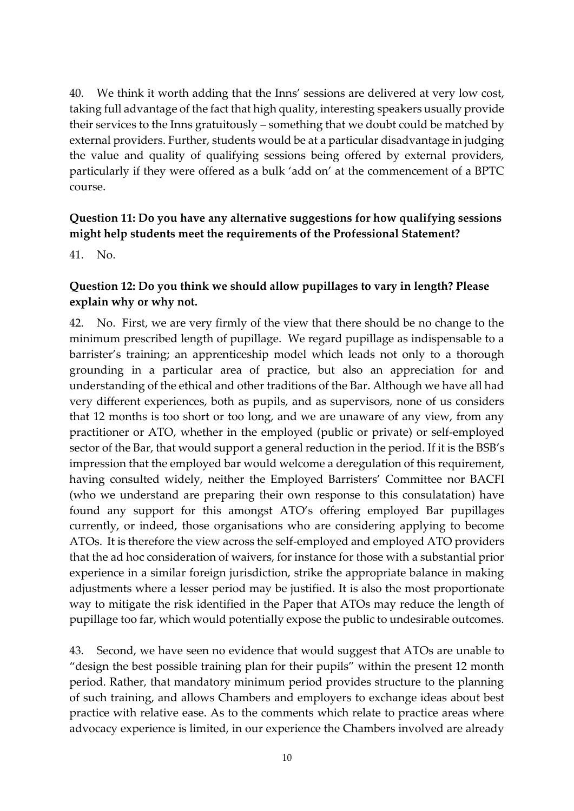40. We think it worth adding that the Inns' sessions are delivered at very low cost, taking full advantage of the fact that high quality, interesting speakers usually provide their services to the Inns gratuitously – something that we doubt could be matched by external providers. Further, students would be at a particular disadvantage in judging the value and quality of qualifying sessions being offered by external providers, particularly if they were offered as a bulk 'add on' at the commencement of a BPTC course.

#### **Question 11: Do you have any alternative suggestions for how qualifying sessions might help students meet the requirements of the Professional Statement?**

41. No.

#### **Question 12: Do you think we should allow pupillages to vary in length? Please explain why or why not.**

42. No. First, we are very firmly of the view that there should be no change to the minimum prescribed length of pupillage. We regard pupillage as indispensable to a barrister's training; an apprenticeship model which leads not only to a thorough grounding in a particular area of practice, but also an appreciation for and understanding of the ethical and other traditions of the Bar. Although we have all had very different experiences, both as pupils, and as supervisors, none of us considers that 12 months is too short or too long, and we are unaware of any view, from any practitioner or ATO, whether in the employed (public or private) or self-employed sector of the Bar, that would support a general reduction in the period. If it is the BSB's impression that the employed bar would welcome a deregulation of this requirement, having consulted widely, neither the Employed Barristers' Committee nor BACFI (who we understand are preparing their own response to this consulatation) have found any support for this amongst ATO's offering employed Bar pupillages currently, or indeed, those organisations who are considering applying to become ATOs. It is therefore the view across the self-employed and employed ATO providers that the ad hoc consideration of waivers, for instance for those with a substantial prior experience in a similar foreign jurisdiction, strike the appropriate balance in making adjustments where a lesser period may be justified. It is also the most proportionate way to mitigate the risk identified in the Paper that ATOs may reduce the length of pupillage too far, which would potentially expose the public to undesirable outcomes.

43. Second, we have seen no evidence that would suggest that ATOs are unable to "design the best possible training plan for their pupils" within the present 12 month period. Rather, that mandatory minimum period provides structure to the planning of such training, and allows Chambers and employers to exchange ideas about best practice with relative ease. As to the comments which relate to practice areas where advocacy experience is limited, in our experience the Chambers involved are already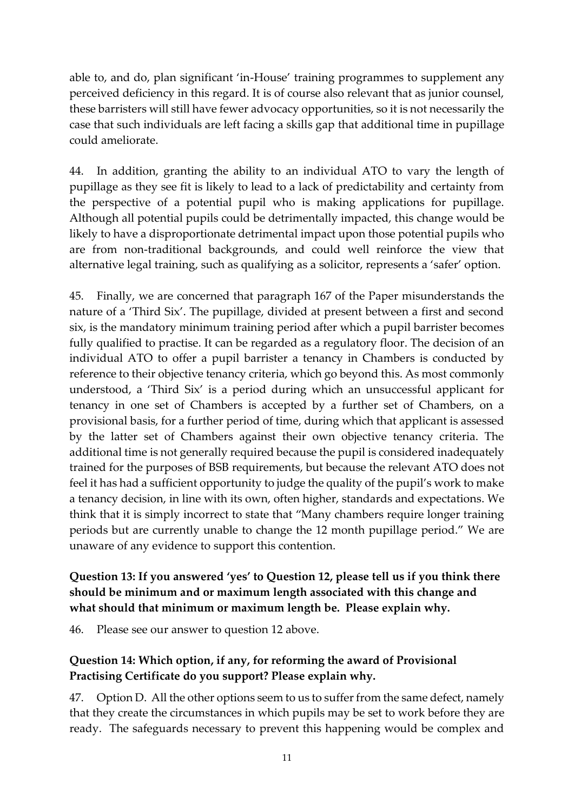able to, and do, plan significant 'in-House' training programmes to supplement any perceived deficiency in this regard. It is of course also relevant that as junior counsel, these barristers will still have fewer advocacy opportunities, so it is not necessarily the case that such individuals are left facing a skills gap that additional time in pupillage could ameliorate.

44. In addition, granting the ability to an individual ATO to vary the length of pupillage as they see fit is likely to lead to a lack of predictability and certainty from the perspective of a potential pupil who is making applications for pupillage. Although all potential pupils could be detrimentally impacted, this change would be likely to have a disproportionate detrimental impact upon those potential pupils who are from non-traditional backgrounds, and could well reinforce the view that alternative legal training, such as qualifying as a solicitor, represents a 'safer' option.

45. Finally, we are concerned that paragraph 167 of the Paper misunderstands the nature of a 'Third Six'. The pupillage, divided at present between a first and second six, is the mandatory minimum training period after which a pupil barrister becomes fully qualified to practise. It can be regarded as a regulatory floor. The decision of an individual ATO to offer a pupil barrister a tenancy in Chambers is conducted by reference to their objective tenancy criteria, which go beyond this. As most commonly understood, a 'Third Six' is a period during which an unsuccessful applicant for tenancy in one set of Chambers is accepted by a further set of Chambers, on a provisional basis, for a further period of time, during which that applicant is assessed by the latter set of Chambers against their own objective tenancy criteria. The additional time is not generally required because the pupil is considered inadequately trained for the purposes of BSB requirements, but because the relevant ATO does not feel it has had a sufficient opportunity to judge the quality of the pupil's work to make a tenancy decision, in line with its own, often higher, standards and expectations. We think that it is simply incorrect to state that "Many chambers require longer training periods but are currently unable to change the 12 month pupillage period." We are unaware of any evidence to support this contention.

# **Question 13: If you answered 'yes' to Question 12, please tell us if you think there should be minimum and or maximum length associated with this change and what should that minimum or maximum length be. Please explain why.**

46. Please see our answer to question 12 above.

# **Question 14: Which option, if any, for reforming the award of Provisional Practising Certificate do you support? Please explain why.**

47. Option D. All the other options seem to us to suffer from the same defect, namely that they create the circumstances in which pupils may be set to work before they are ready. The safeguards necessary to prevent this happening would be complex and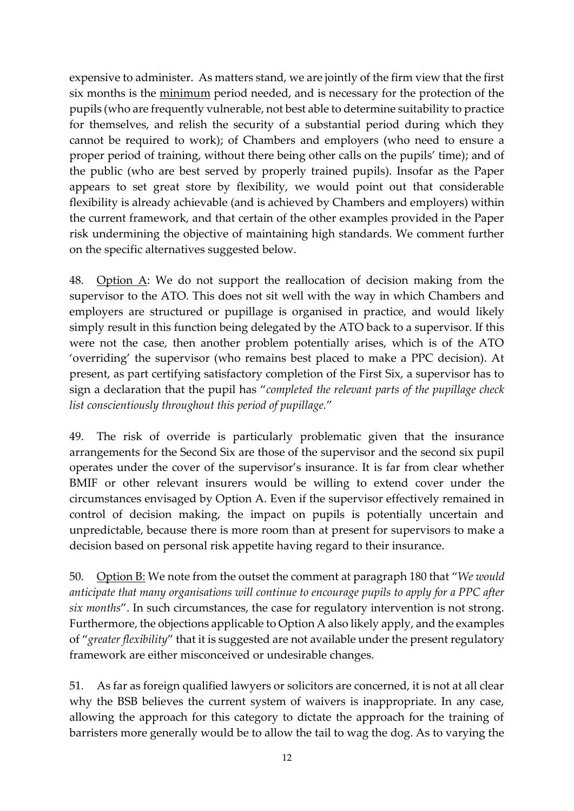expensive to administer. As matters stand, we are jointly of the firm view that the first six months is the minimum period needed, and is necessary for the protection of the pupils (who are frequently vulnerable, not best able to determine suitability to practice for themselves, and relish the security of a substantial period during which they cannot be required to work); of Chambers and employers (who need to ensure a proper period of training, without there being other calls on the pupils' time); and of the public (who are best served by properly trained pupils). Insofar as the Paper appears to set great store by flexibility, we would point out that considerable flexibility is already achievable (and is achieved by Chambers and employers) within the current framework, and that certain of the other examples provided in the Paper risk undermining the objective of maintaining high standards. We comment further on the specific alternatives suggested below.

48. Option A: We do not support the reallocation of decision making from the supervisor to the ATO. This does not sit well with the way in which Chambers and employers are structured or pupillage is organised in practice, and would likely simply result in this function being delegated by the ATO back to a supervisor. If this were not the case, then another problem potentially arises, which is of the ATO 'overriding' the supervisor (who remains best placed to make a PPC decision). At present, as part certifying satisfactory completion of the First Six, a supervisor has to sign a declaration that the pupil has "*completed the relevant parts of the pupillage check list conscientiously throughout this period of pupillage.*"

49. The risk of override is particularly problematic given that the insurance arrangements for the Second Six are those of the supervisor and the second six pupil operates under the cover of the supervisor's insurance. It is far from clear whether BMIF or other relevant insurers would be willing to extend cover under the circumstances envisaged by Option A. Even if the supervisor effectively remained in control of decision making, the impact on pupils is potentially uncertain and unpredictable, because there is more room than at present for supervisors to make a decision based on personal risk appetite having regard to their insurance.

50. Option B: We note from the outset the comment at paragraph 180 that "*We would anticipate that many organisations will continue to encourage pupils to apply for a PPC after six months*". In such circumstances, the case for regulatory intervention is not strong. Furthermore, the objections applicable to Option A also likely apply, and the examples of "*greater flexibility*" that it is suggested are not available under the present regulatory framework are either misconceived or undesirable changes.

51. As far as foreign qualified lawyers or solicitors are concerned, it is not at all clear why the BSB believes the current system of waivers is inappropriate. In any case, allowing the approach for this category to dictate the approach for the training of barristers more generally would be to allow the tail to wag the dog. As to varying the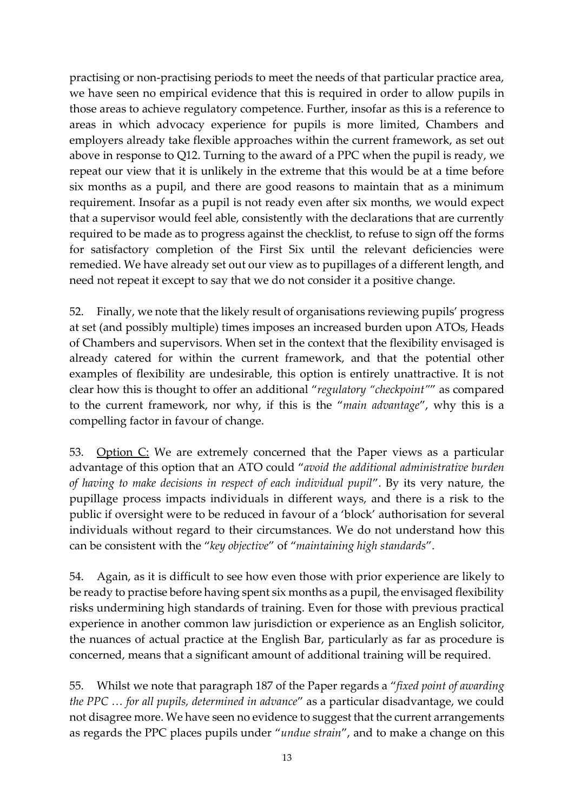practising or non-practising periods to meet the needs of that particular practice area, we have seen no empirical evidence that this is required in order to allow pupils in those areas to achieve regulatory competence. Further, insofar as this is a reference to areas in which advocacy experience for pupils is more limited, Chambers and employers already take flexible approaches within the current framework, as set out above in response to Q12. Turning to the award of a PPC when the pupil is ready, we repeat our view that it is unlikely in the extreme that this would be at a time before six months as a pupil, and there are good reasons to maintain that as a minimum requirement. Insofar as a pupil is not ready even after six months, we would expect that a supervisor would feel able, consistently with the declarations that are currently required to be made as to progress against the checklist, to refuse to sign off the forms for satisfactory completion of the First Six until the relevant deficiencies were remedied. We have already set out our view as to pupillages of a different length, and need not repeat it except to say that we do not consider it a positive change.

52. Finally, we note that the likely result of organisations reviewing pupils' progress at set (and possibly multiple) times imposes an increased burden upon ATOs, Heads of Chambers and supervisors. When set in the context that the flexibility envisaged is already catered for within the current framework, and that the potential other examples of flexibility are undesirable, this option is entirely unattractive. It is not clear how this is thought to offer an additional "*regulatory "checkpoint"*" as compared to the current framework, nor why, if this is the "*main advantage*", why this is a compelling factor in favour of change.

53. Option C: We are extremely concerned that the Paper views as a particular advantage of this option that an ATO could "*avoid the additional administrative burden of having to make decisions in respect of each individual pupil*". By its very nature, the pupillage process impacts individuals in different ways, and there is a risk to the public if oversight were to be reduced in favour of a 'block' authorisation for several individuals without regard to their circumstances. We do not understand how this can be consistent with the "*key objective*" of "*maintaining high standards*".

54. Again, as it is difficult to see how even those with prior experience are likely to be ready to practise before having spent six months as a pupil, the envisaged flexibility risks undermining high standards of training. Even for those with previous practical experience in another common law jurisdiction or experience as an English solicitor, the nuances of actual practice at the English Bar, particularly as far as procedure is concerned, means that a significant amount of additional training will be required.

55. Whilst we note that paragraph 187 of the Paper regards a "*fixed point of awarding the PPC … for all pupils, determined in advance*" as a particular disadvantage, we could not disagree more. We have seen no evidence to suggest that the current arrangements as regards the PPC places pupils under "*undue strain*", and to make a change on this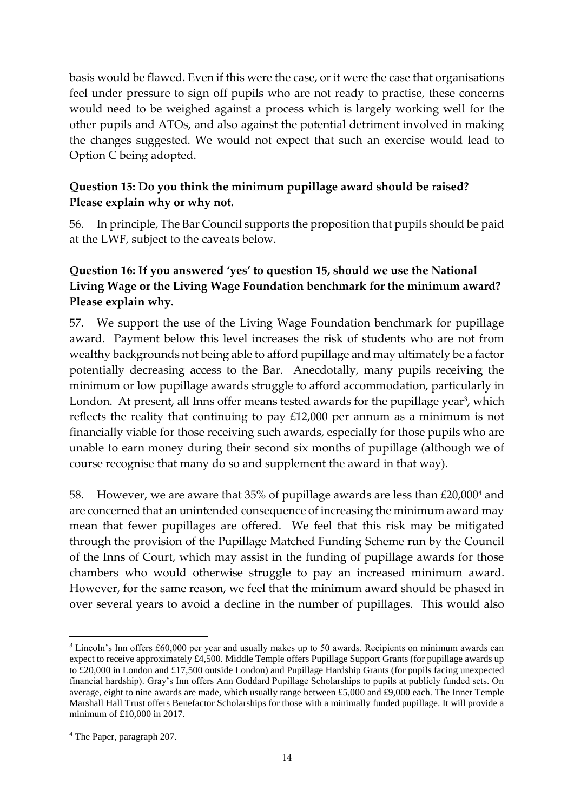basis would be flawed. Even if this were the case, or it were the case that organisations feel under pressure to sign off pupils who are not ready to practise, these concerns would need to be weighed against a process which is largely working well for the other pupils and ATOs, and also against the potential detriment involved in making the changes suggested. We would not expect that such an exercise would lead to Option C being adopted.

#### **Question 15: Do you think the minimum pupillage award should be raised? Please explain why or why not.**

56. In principle, The Bar Council supports the proposition that pupils should be paid at the LWF, subject to the caveats below.

### **Question 16: If you answered 'yes' to question 15, should we use the National Living Wage or the Living Wage Foundation benchmark for the minimum award? Please explain why.**

57. We support the use of the Living Wage Foundation benchmark for pupillage award. Payment below this level increases the risk of students who are not from wealthy backgrounds not being able to afford pupillage and may ultimately be a factor potentially decreasing access to the Bar. Anecdotally, many pupils receiving the minimum or low pupillage awards struggle to afford accommodation, particularly in London. At present, all Inns offer means tested awards for the pupillage year<sup>3</sup>, which reflects the reality that continuing to pay £12,000 per annum as a minimum is not financially viable for those receiving such awards, especially for those pupils who are unable to earn money during their second six months of pupillage (although we of course recognise that many do so and supplement the award in that way).

58. However, we are aware that 35% of pupillage awards are less than £20,000<sup>4</sup> and are concerned that an unintended consequence of increasing the minimum award may mean that fewer pupillages are offered. We feel that this risk may be mitigated through the provision of the Pupillage Matched Funding Scheme run by the Council of the Inns of Court, which may assist in the funding of pupillage awards for those chambers who would otherwise struggle to pay an increased minimum award. However, for the same reason, we feel that the minimum award should be phased in over several years to avoid a decline in the number of pupillages. This would also

 $\overline{a}$ 

<sup>&</sup>lt;sup>3</sup> Lincoln's Inn offers £60,000 per year and usually makes up to 50 awards. Recipients on minimum awards can expect to receive approximately £4,500. Middle Temple offers Pupillage Support Grants (for pupillage awards up to £20,000 in London and £17,500 outside London) and Pupillage Hardship Grants (for pupils facing unexpected financial hardship). Gray's Inn offers Ann Goddard Pupillage Scholarships to pupils at publicly funded sets. On average, eight to nine awards are made, which usually range between £5,000 and £9,000 each. The Inner Temple Marshall Hall Trust offers Benefactor Scholarships for those with a minimally funded pupillage. It will provide a minimum of £10,000 in 2017.

<sup>4</sup> The Paper, paragraph 207.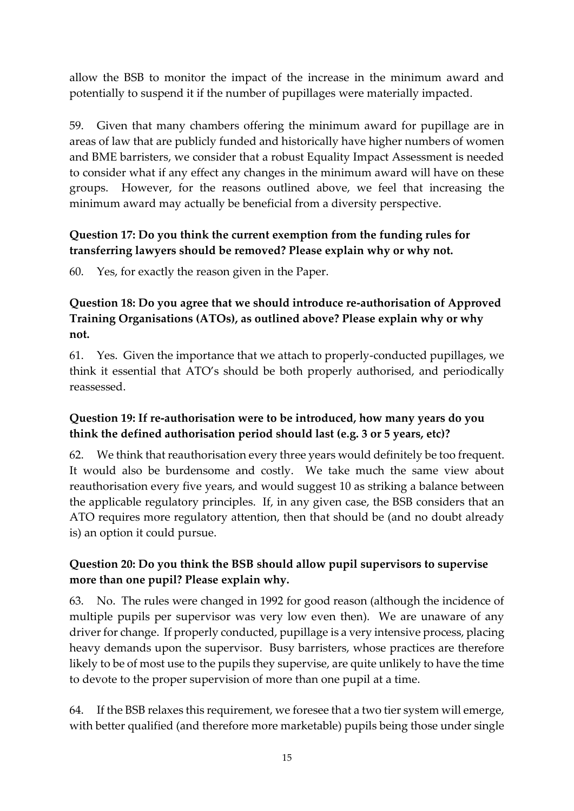allow the BSB to monitor the impact of the increase in the minimum award and potentially to suspend it if the number of pupillages were materially impacted.

59. Given that many chambers offering the minimum award for pupillage are in areas of law that are publicly funded and historically have higher numbers of women and BME barristers, we consider that a robust Equality Impact Assessment is needed to consider what if any effect any changes in the minimum award will have on these groups. However, for the reasons outlined above, we feel that increasing the minimum award may actually be beneficial from a diversity perspective.

#### **Question 17: Do you think the current exemption from the funding rules for transferring lawyers should be removed? Please explain why or why not.**

60. Yes, for exactly the reason given in the Paper.

### **Question 18: Do you agree that we should introduce re-authorisation of Approved Training Organisations (ATOs), as outlined above? Please explain why or why not.**

61. Yes. Given the importance that we attach to properly-conducted pupillages, we think it essential that ATO's should be both properly authorised, and periodically reassessed.

# **Question 19: If re-authorisation were to be introduced, how many years do you think the defined authorisation period should last (e.g. 3 or 5 years, etc)?**

62. We think that reauthorisation every three years would definitely be too frequent. It would also be burdensome and costly. We take much the same view about reauthorisation every five years, and would suggest 10 as striking a balance between the applicable regulatory principles. If, in any given case, the BSB considers that an ATO requires more regulatory attention, then that should be (and no doubt already is) an option it could pursue.

# **Question 20: Do you think the BSB should allow pupil supervisors to supervise more than one pupil? Please explain why.**

63. No. The rules were changed in 1992 for good reason (although the incidence of multiple pupils per supervisor was very low even then). We are unaware of any driver for change. If properly conducted, pupillage is a very intensive process, placing heavy demands upon the supervisor. Busy barristers, whose practices are therefore likely to be of most use to the pupils they supervise, are quite unlikely to have the time to devote to the proper supervision of more than one pupil at a time.

64. If the BSB relaxes this requirement, we foresee that a two tier system will emerge, with better qualified (and therefore more marketable) pupils being those under single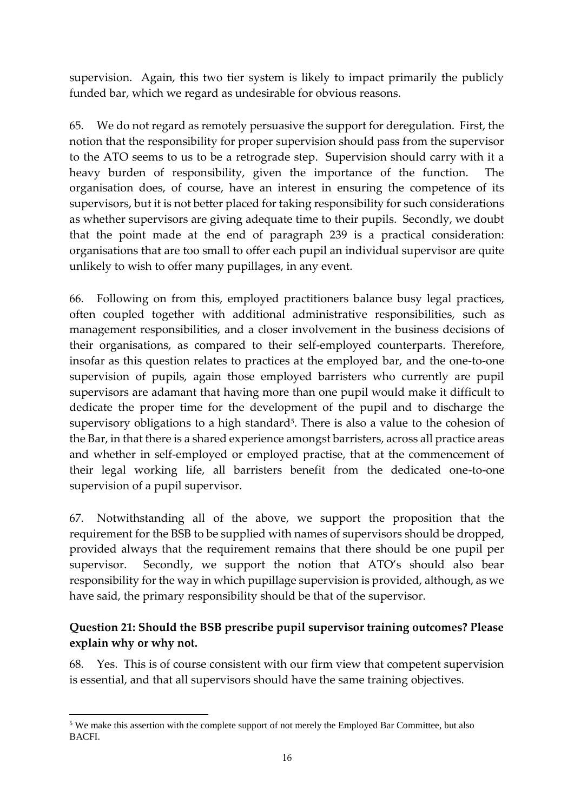supervision. Again, this two tier system is likely to impact primarily the publicly funded bar, which we regard as undesirable for obvious reasons.

65. We do not regard as remotely persuasive the support for deregulation. First, the notion that the responsibility for proper supervision should pass from the supervisor to the ATO seems to us to be a retrograde step. Supervision should carry with it a heavy burden of responsibility, given the importance of the function. The organisation does, of course, have an interest in ensuring the competence of its supervisors, but it is not better placed for taking responsibility for such considerations as whether supervisors are giving adequate time to their pupils. Secondly, we doubt that the point made at the end of paragraph 239 is a practical consideration: organisations that are too small to offer each pupil an individual supervisor are quite unlikely to wish to offer many pupillages, in any event.

66. Following on from this, employed practitioners balance busy legal practices, often coupled together with additional administrative responsibilities, such as management responsibilities, and a closer involvement in the business decisions of their organisations, as compared to their self-employed counterparts. Therefore, insofar as this question relates to practices at the employed bar, and the one-to-one supervision of pupils, again those employed barristers who currently are pupil supervisors are adamant that having more than one pupil would make it difficult to dedicate the proper time for the development of the pupil and to discharge the supervisory obligations to a high standard<sup> $5$ </sup>. There is also a value to the cohesion of the Bar, in that there is a shared experience amongst barristers, across all practice areas and whether in self-employed or employed practise, that at the commencement of their legal working life, all barristers benefit from the dedicated one-to-one supervision of a pupil supervisor.

67. Notwithstanding all of the above, we support the proposition that the requirement for the BSB to be supplied with names of supervisors should be dropped, provided always that the requirement remains that there should be one pupil per supervisor. Secondly, we support the notion that ATO's should also bear responsibility for the way in which pupillage supervision is provided, although, as we have said, the primary responsibility should be that of the supervisor.

#### **Question 21: Should the BSB prescribe pupil supervisor training outcomes? Please explain why or why not.**

68. Yes. This is of course consistent with our firm view that competent supervision is essential, and that all supervisors should have the same training objectives.

<sup>1</sup> <sup>5</sup> We make this assertion with the complete support of not merely the Employed Bar Committee, but also BACFI.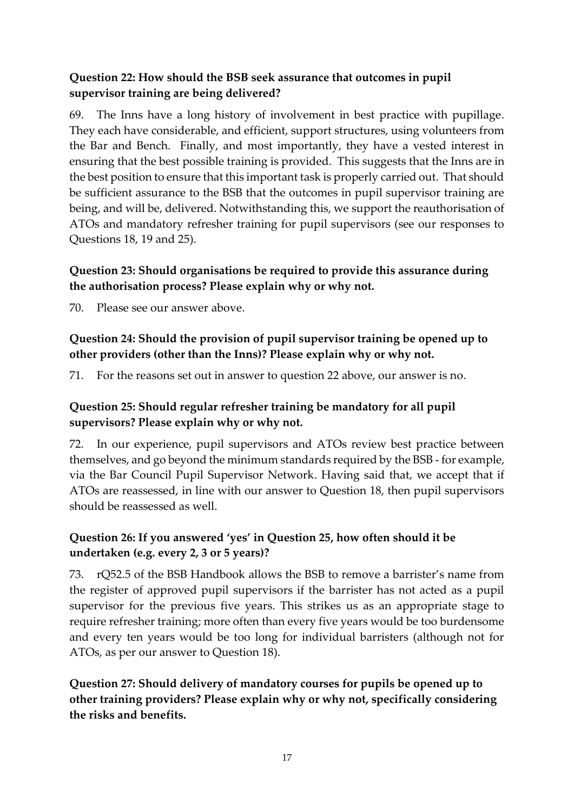### **Question 22: How should the BSB seek assurance that outcomes in pupil supervisor training are being delivered?**

69. The Inns have a long history of involvement in best practice with pupillage. They each have considerable, and efficient, support structures, using volunteers from the Bar and Bench. Finally, and most importantly, they have a vested interest in ensuring that the best possible training is provided. This suggests that the Inns are in the best position to ensure that this important task is properly carried out. That should be sufficient assurance to the BSB that the outcomes in pupil supervisor training are being, and will be, delivered. Notwithstanding this, we support the reauthorisation of ATOs and mandatory refresher training for pupil supervisors (see our responses to Questions 18, 19 and 25).

### **Question 23: Should organisations be required to provide this assurance during the authorisation process? Please explain why or why not.**

70. Please see our answer above.

### **Question 24: Should the provision of pupil supervisor training be opened up to other providers (other than the Inns)? Please explain why or why not.**

71. For the reasons set out in answer to question 22 above, our answer is no.

### **Question 25: Should regular refresher training be mandatory for all pupil supervisors? Please explain why or why not.**

72. In our experience, pupil supervisors and ATOs review best practice between themselves, and go beyond the minimum standards required by the BSB - for example, via the Bar Council Pupil Supervisor Network. Having said that, we accept that if ATOs are reassessed, in line with our answer to Question 18, then pupil supervisors should be reassessed as well.

# **Question 26: If you answered 'yes' in Question 25, how often should it be undertaken (e.g. every 2, 3 or 5 years)?**

73. rQ52.5 of the BSB Handbook allows the BSB to remove a barrister's name from the register of approved pupil supervisors if the barrister has not acted as a pupil supervisor for the previous five years. This strikes us as an appropriate stage to require refresher training; more often than every five years would be too burdensome and every ten years would be too long for individual barristers (although not for ATOs, as per our answer to Question 18).

**Question 27: Should delivery of mandatory courses for pupils be opened up to other training providers? Please explain why or why not, specifically considering the risks and benefits.**